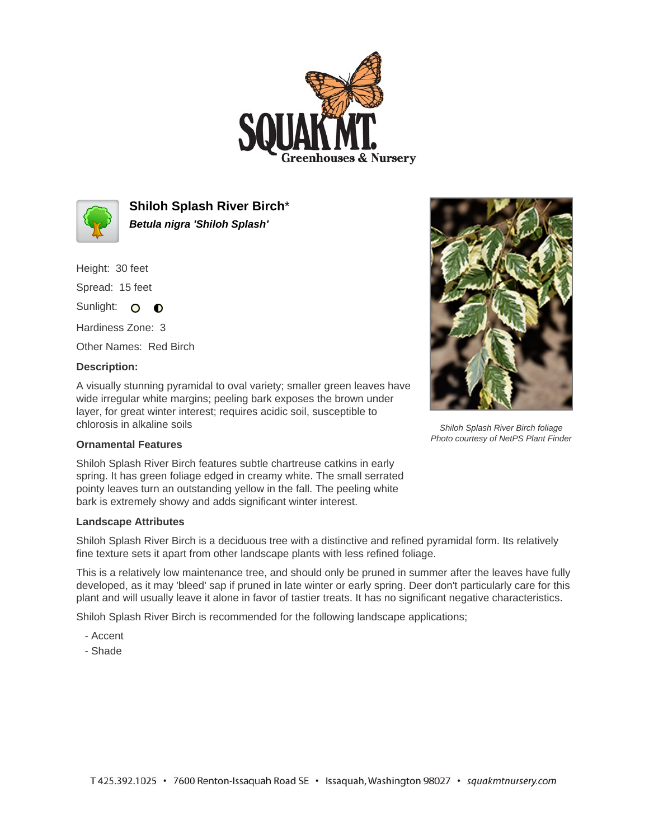



**Shiloh Splash River Birch**\* **Betula nigra 'Shiloh Splash'**

Height: 30 feet Spread: 15 feet

Sunlight: O **O** 

Hardiness Zone: 3

Other Names: Red Birch

## **Description:**

A visually stunning pyramidal to oval variety; smaller green leaves have wide irregular white margins; peeling bark exposes the brown under layer, for great winter interest; requires acidic soil, susceptible to chlorosis in alkaline soils

## **Ornamental Features**

Shiloh Splash River Birch features subtle chartreuse catkins in early spring. It has green foliage edged in creamy white. The small serrated pointy leaves turn an outstanding yellow in the fall. The peeling white bark is extremely showy and adds significant winter interest.

## **Landscape Attributes**

Shiloh Splash River Birch is a deciduous tree with a distinctive and refined pyramidal form. Its relatively fine texture sets it apart from other landscape plants with less refined foliage.

This is a relatively low maintenance tree, and should only be pruned in summer after the leaves have fully developed, as it may 'bleed' sap if pruned in late winter or early spring. Deer don't particularly care for this plant and will usually leave it alone in favor of tastier treats. It has no significant negative characteristics.

Shiloh Splash River Birch is recommended for the following landscape applications;

- Accent
- Shade



Shiloh Splash River Birch foliage Photo courtesy of NetPS Plant Finder